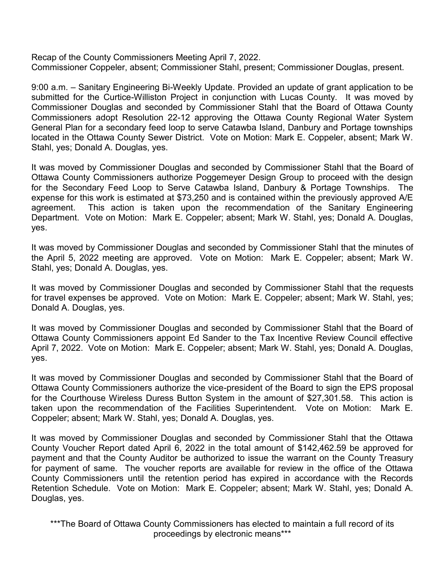Recap of the County Commissioners Meeting April 7, 2022. Commissioner Coppeler, absent; Commissioner Stahl, present; Commissioner Douglas, present.

9:00 a.m. – Sanitary Engineering Bi-Weekly Update. Provided an update of grant application to be submitted for the Curtice-Williston Project in conjunction with Lucas County. It was moved by Commissioner Douglas and seconded by Commissioner Stahl that the Board of Ottawa County Commissioners adopt Resolution 22-12 approving the Ottawa County Regional Water System General Plan for a secondary feed loop to serve Catawba Island, Danbury and Portage townships located in the Ottawa County Sewer District. Vote on Motion: Mark E. Coppeler, absent; Mark W. Stahl, yes; Donald A. Douglas, yes.

It was moved by Commissioner Douglas and seconded by Commissioner Stahl that the Board of Ottawa County Commissioners authorize Poggemeyer Design Group to proceed with the design for the Secondary Feed Loop to Serve Catawba Island, Danbury & Portage Townships. The expense for this work is estimated at \$73,250 and is contained within the previously approved A/E agreement. This action is taken upon the recommendation of the Sanitary Engineering Department. Vote on Motion: Mark E. Coppeler; absent; Mark W. Stahl, yes; Donald A. Douglas, yes.

It was moved by Commissioner Douglas and seconded by Commissioner Stahl that the minutes of the April 5, 2022 meeting are approved. Vote on Motion: Mark E. Coppeler; absent; Mark W. Stahl, yes; Donald A. Douglas, yes.

It was moved by Commissioner Douglas and seconded by Commissioner Stahl that the requests for travel expenses be approved. Vote on Motion: Mark E. Coppeler; absent; Mark W. Stahl, yes; Donald A. Douglas, yes.

It was moved by Commissioner Douglas and seconded by Commissioner Stahl that the Board of Ottawa County Commissioners appoint Ed Sander to the Tax Incentive Review Council effective April 7, 2022. Vote on Motion: Mark E. Coppeler; absent; Mark W. Stahl, yes; Donald A. Douglas, yes.

It was moved by Commissioner Douglas and seconded by Commissioner Stahl that the Board of Ottawa County Commissioners authorize the vice-president of the Board to sign the EPS proposal for the Courthouse Wireless Duress Button System in the amount of \$27,301.58. This action is taken upon the recommendation of the Facilities Superintendent. Vote on Motion: Mark E. Coppeler; absent; Mark W. Stahl, yes; Donald A. Douglas, yes.

It was moved by Commissioner Douglas and seconded by Commissioner Stahl that the Ottawa County Voucher Report dated April 6, 2022 in the total amount of \$142,462.59 be approved for payment and that the County Auditor be authorized to issue the warrant on the County Treasury for payment of same. The voucher reports are available for review in the office of the Ottawa County Commissioners until the retention period has expired in accordance with the Records Retention Schedule. Vote on Motion: Mark E. Coppeler; absent; Mark W. Stahl, yes; Donald A. Douglas, yes.

\*\*\*The Board of Ottawa County Commissioners has elected to maintain a full record of its proceedings by electronic means\*\*\*